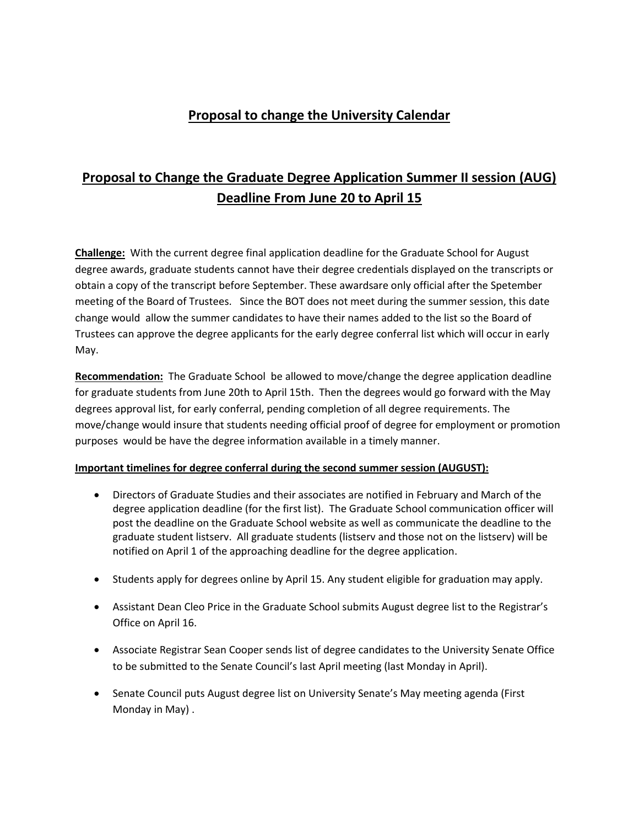## **Proposal to change the University Calendar**

## **Proposal to Change the Graduate Degree Application Summer II session (AUG) Deadline From June 20 to April 15**

**Challenge:** With the current degree final application deadline for the Graduate School for August degree awards, graduate students cannot have their degree credentials displayed on the transcripts or obtain a copy of the transcript before September. These awardsare only official after the Spetember meeting of the Board of Trustees. Since the BOT does not meet during the summer session, this date change would allow the summer candidates to have their names added to the list so the Board of Trustees can approve the degree applicants for the early degree conferral list which will occur in early May.

**Recommendation:** The Graduate School be allowed to move/change the degree application deadline for graduate students from June 20th to April 15th. Then the degrees would go forward with the May degrees approval list, for early conferral, pending completion of all degree requirements. The move/change would insure that students needing official proof of degree for employment or promotion purposes would be have the degree information available in a timely manner.

## **Important timelines for degree conferral during the second summer session (AUGUST):**

- Directors of Graduate Studies and their associates are notified in February and March of the degree application deadline (for the first list). The Graduate School communication officer will post the deadline on the Graduate School website as well as communicate the deadline to the graduate student listserv. All graduate students (listserv and those not on the listserv) will be notified on April 1 of the approaching deadline for the degree application.
- Students apply for degrees online by April 15. Any student eligible for graduation may apply.
- Assistant Dean Cleo Price in the Graduate School submits August degree list to the Registrar's Office on April 16.
- Associate Registrar Sean Cooper sends list of degree candidates to the University Senate Office to be submitted to the Senate Council's last April meeting (last Monday in April).
- Senate Council puts August degree list on University Senate's May meeting agenda (First Monday in May) .